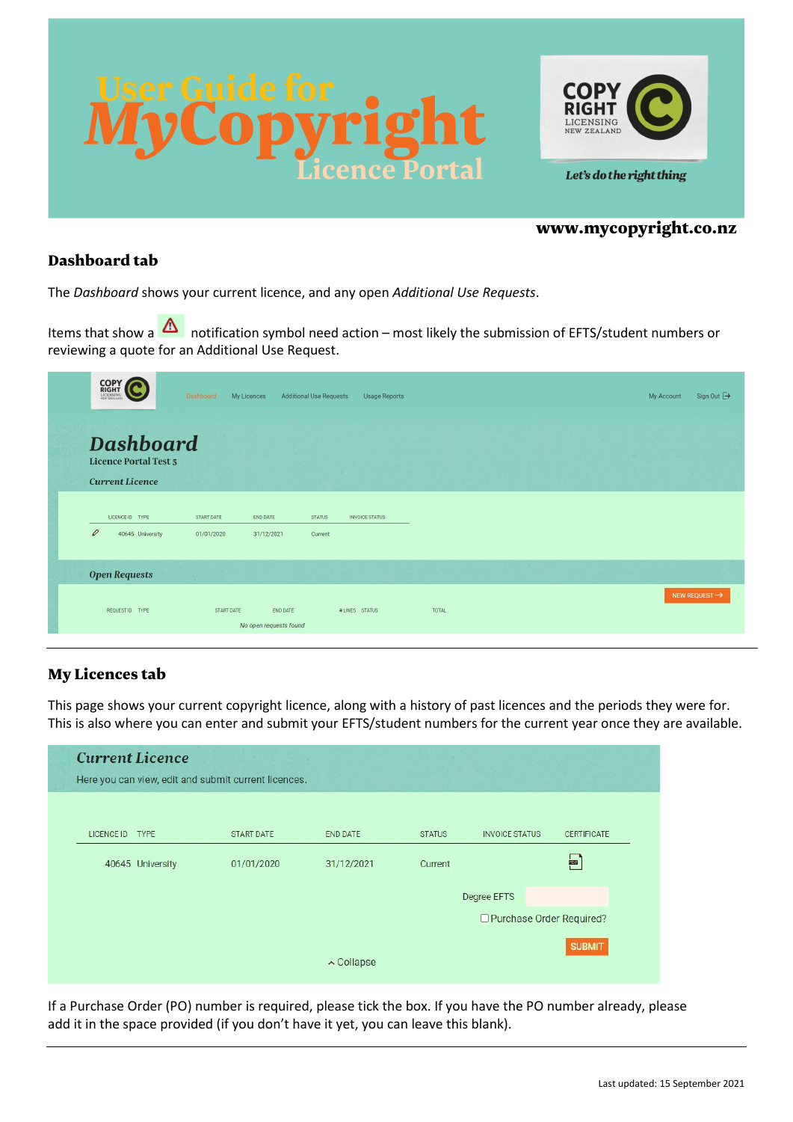



## www.mycopyright.co.nz

# Dashboard tab

The *Dashboard* shows your current licence, and any open *Additional Use Requests*.

Items that show a **A** notification symbol need action – most likely the submission of EFTS/student numbers or reviewing a quote for an Additional Use Request.

| <b>COPY</b><br>RIGHT         |                  | Dashboard  | My Licences            | <b>Additional Use Requests</b> | Usage Reports         |       |  | My Account | Sign Out →                |
|------------------------------|------------------|------------|------------------------|--------------------------------|-----------------------|-------|--|------------|---------------------------|
| <b>Licence Portal Test 5</b> | <b>Dashboard</b> |            |                        |                                |                       |       |  |            |                           |
| <b>Current Licence</b>       |                  |            |                        |                                |                       |       |  |            |                           |
| LICENCE ID TYPE              |                  | START DATE | <b>END DATE</b>        | <b>STATUS</b>                  | <b>INVOICE STATUS</b> |       |  |            |                           |
| $\varrho$                    | 40645 University | 01/01/2020 | 31/12/2021             | Current                        |                       |       |  |            |                           |
|                              |                  |            |                        |                                |                       |       |  |            |                           |
| <b>Open Requests</b>         |                  |            |                        |                                |                       |       |  |            |                           |
| REQUEST ID TYPE              |                  | START DATE | <b>END DATE</b>        |                                | # LINES STATUS        | TOTAL |  |            | NEW REQUEST $\rightarrow$ |
|                              |                  |            | No open requests found |                                |                       |       |  |            |                           |

# My Licences tab

This page shows your current copyright licence, along with a history of past licences and the periods they were for. This is also where you can enter and submit your EFTS/student numbers for the current year once they are available.

|                 | <b>Current Licence</b> | Here you can view, edit and submit current licences. |            |                            |                       |                    |  |
|-----------------|------------------------|------------------------------------------------------|------------|----------------------------|-----------------------|--------------------|--|
| LICENCE ID TYPE |                        | <b>START DATE</b>                                    | END DATE   | <b>STATUS</b>              | <b>INVOICE STATUS</b> | <b>CERTIFICATE</b> |  |
|                 | 40645 University       | 01/01/2020                                           | 31/12/2021 | Current                    |                       | <b>FOR</b>         |  |
|                 |                        |                                                      |            |                            | Degree EFTS           |                    |  |
|                 |                        |                                                      |            | □ Purchase Order Required? |                       |                    |  |
|                 |                        |                                                      | ∧ Collapse |                            |                       | <b>SUBMIT</b>      |  |

If a Purchase Order (PO) number is required, please tick the box. If you have the PO number already, please add it in the space provided (if you don't have it yet, you can leave this blank).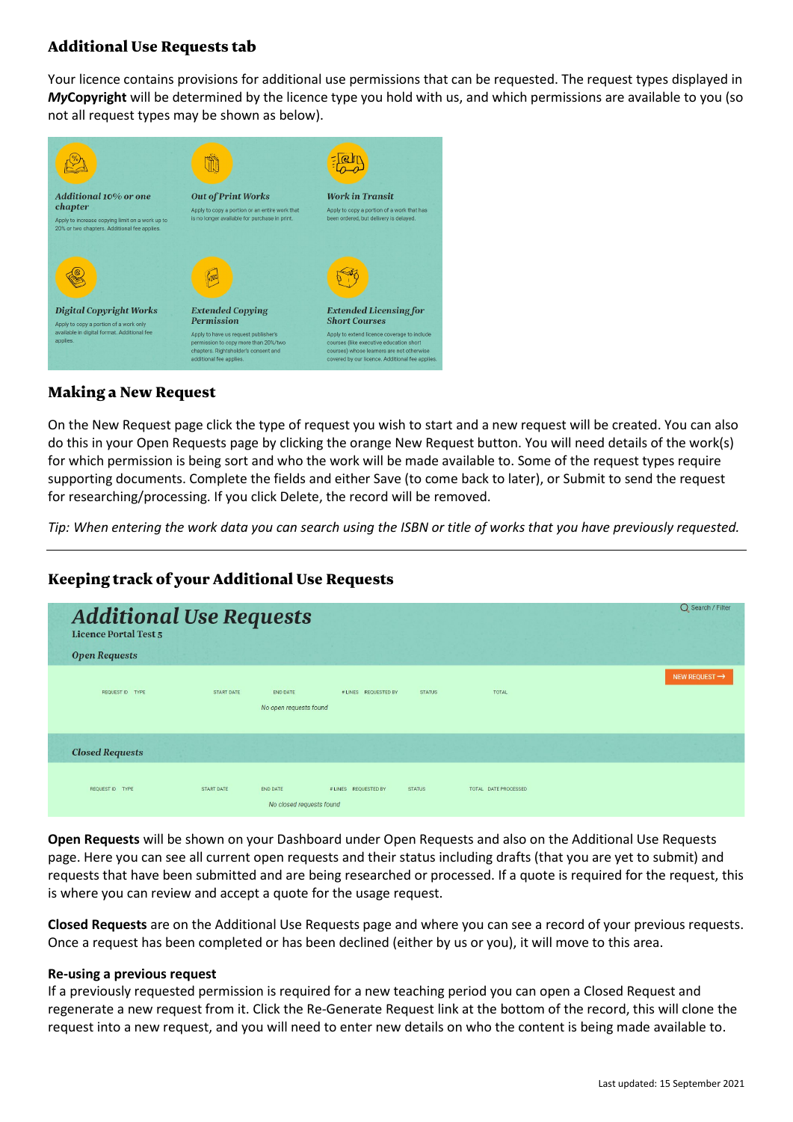# Additional Use Requests tab

Your licence contains provisions for additional use permissions that can be requested. The request types displayed in *My***Copyright** will be determined by the licence type you hold with us, and which permissions are available to you (so not all request types may be shown as below).



# Making a New Request

On the New Request page click the type of request you wish to start and a new request will be created. You can also do this in your Open Requests page by clicking the orange New Request button. You will need details of the work(s) for which permission is being sort and who the work will be made available to. Some of the request types require supporting documents. Complete the fields and either Save (to come back to later), or Submit to send the request for researching/processing. If you click Delete, the record will be removed.

*Tip: When entering the work data you can search using the ISBN or title of works that you have previously requested.*

#### ○ Search / Filter **Additional Use Requests Licence Portal Test 5 Open Requests** NEW REQUEST  $\rightarrow$ START DATE REQUEST ID TYPE END DATE # LINES REQUESTED BY **STATUS** TOTAL No open requests found **Closed Requests** REQUEST ID TYPE START DATE END DATE # LINES REQUESTED BY **STATUS** TOTAL DATE PROCESSED No closed requests found

# Keeping track of your Additional Use Requests

**Open Requests** will be shown on your Dashboard under Open Requests and also on the Additional Use Requests page. Here you can see all current open requests and their status including drafts (that you are yet to submit) and requests that have been submitted and are being researched or processed. If a quote is required for the request, this is where you can review and accept a quote for the usage request.

**Closed Requests** are on the Additional Use Requests page and where you can see a record of your previous requests. Once a request has been completed or has been declined (either by us or you), it will move to this area.

#### **Re-using a previous request**

If a previously requested permission is required for a new teaching period you can open a Closed Request and regenerate a new request from it. Click the Re-Generate Request link at the bottom of the record, this will clone the request into a new request, and you will need to enter new details on who the content is being made available to.